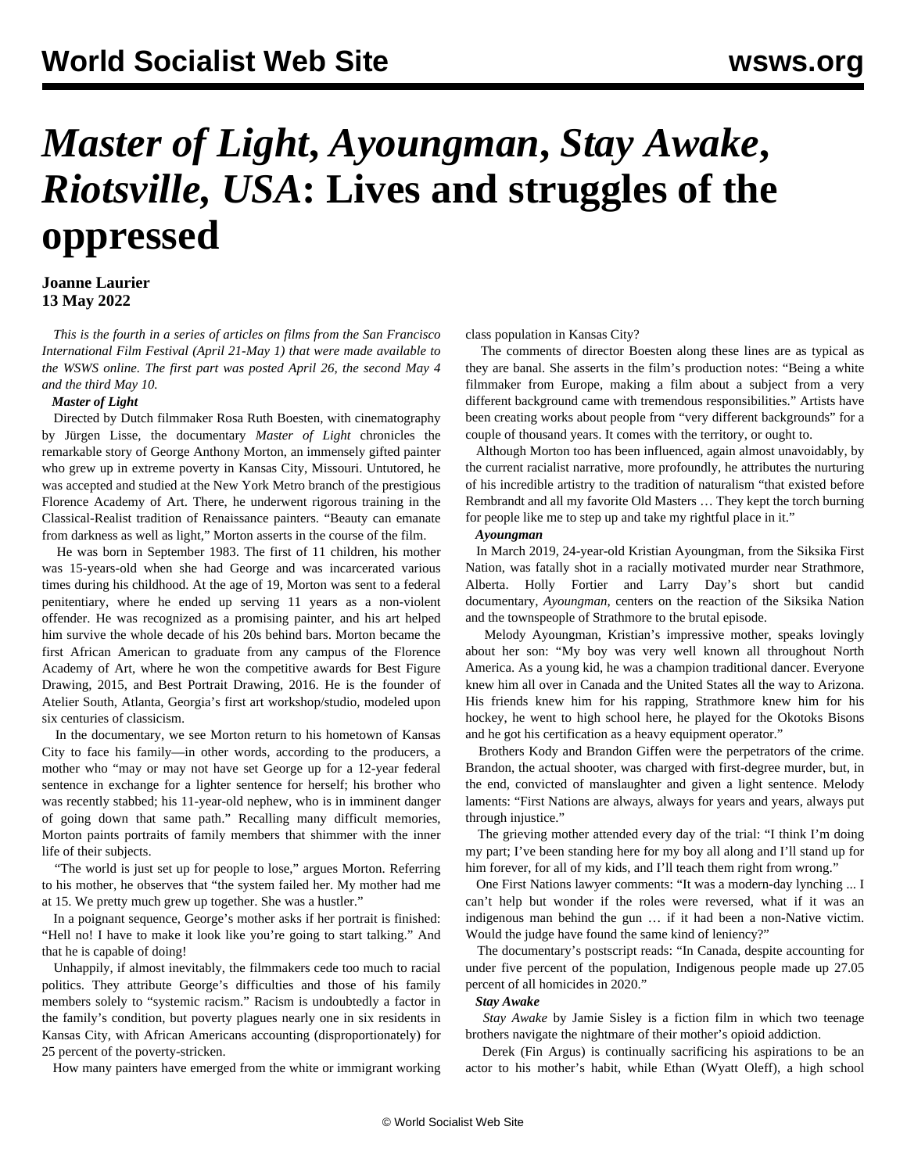# *Master of Light***,** *Ayoungman***,** *Stay Awake***,**  *Riotsville, USA***: Lives and struggles of the oppressed**

### **Joanne Laurier 13 May 2022**

 *This is the fourth in a series of articles on films from the San Francisco International Film Festival (April 21-May 1) that were made available to the WSWS online. The [first](/en/articles/2022/04/27/vcfq-a27.html) part was posted April 26, the [second](/en/articles/2022/05/05/mgdj-m05.html) May 4 and the [third](/en/articles/2022/05/11/jpxo-m11.html) May 10.*

#### *Master of Light*

 Directed by Dutch filmmaker Rosa Ruth Boesten, with cinematography by Jürgen Lisse, the documentary *Master of Light* chronicles the remarkable story of George Anthony Morton, an immensely gifted painter who grew up in extreme poverty in Kansas City, Missouri. Untutored, he was accepted and studied at the New York Metro branch of the prestigious Florence Academy of Art. There, he underwent rigorous training in the Classical-Realist tradition of Renaissance painters. "Beauty can emanate from darkness as well as light," Morton asserts in the course of the film.

 He was born in September 1983. The first of 11 children, his mother was 15-years-old when she had George and was incarcerated various times during his childhood. At the age of 19, Morton was sent to a federal penitentiary, where he ended up serving 11 years as a non-violent offender. He was recognized as a promising painter, and his art helped him survive the whole decade of his 20s behind bars. Morton became the first African American to graduate from any campus of the Florence Academy of Art, where he won the competitive awards for Best Figure Drawing, 2015, and Best Portrait Drawing, 2016. He is the founder of Atelier South, Atlanta, Georgia's first art workshop/studio, modeled upon six centuries of classicism.

 In the documentary, we see Morton return to his hometown of Kansas City to face his family—in other words, according to the producers, a mother who "may or may not have set George up for a 12-year federal sentence in exchange for a lighter sentence for herself; his brother who was recently stabbed; his 11-year-old nephew, who is in imminent danger of going down that same path." Recalling many difficult memories, Morton paints portraits of family members that shimmer with the inner life of their subjects.

 "The world is just set up for people to lose," argues Morton. Referring to his mother, he observes that "the system failed her. My mother had me at 15. We pretty much grew up together. She was a hustler."

 In a poignant sequence, George's mother asks if her portrait is finished: "Hell no! I have to make it look like you're going to start talking." And that he is capable of doing!

 Unhappily, if almost inevitably, the filmmakers cede too much to racial politics. They attribute George's difficulties and those of his family members solely to "systemic racism." Racism is undoubtedly a factor in the family's condition, but poverty plagues nearly one in six residents in Kansas City, with African Americans accounting (disproportionately) for 25 percent of the poverty-stricken.

How many painters have emerged from the white or immigrant working

class population in Kansas City?

 The comments of director Boesten along these lines are as typical as they are banal. She asserts in the film's production notes: "Being a white filmmaker from Europe, making a film about a subject from a very different background came with tremendous responsibilities." Artists have been creating works about people from "very different backgrounds" for a couple of thousand years. It comes with the territory, or ought to.

 Although Morton too has been influenced, again almost unavoidably, by the current racialist narrative, more profoundly, he attributes the nurturing of his incredible artistry to the tradition of naturalism "that existed before Rembrandt and all my favorite Old Masters … They kept the torch burning for people like me to step up and take my rightful place in it."

#### *Ayoungman*

 In March 2019, 24-year-old Kristian Ayoungman, from the Siksika First Nation, was fatally shot in a racially motivated murder near Strathmore, Alberta. Holly Fortier and Larry Day's short but candid documentary, *Ayoungman*, centers on the reaction of the Siksika Nation and the townspeople of Strathmore to the brutal episode.

 Melody Ayoungman, Kristian's impressive mother, speaks lovingly about her son: "My boy was very well known all throughout North America. As a young kid, he was a champion traditional dancer. Everyone knew him all over in Canada and the United States all the way to Arizona. His friends knew him for his rapping, Strathmore knew him for his hockey, he went to high school here, he played for the Okotoks Bisons and he got his certification as a heavy equipment operator."

 Brothers Kody and Brandon Giffen were the perpetrators of the crime. Brandon, the actual shooter, was charged with first-degree murder, but, in the end, convicted of manslaughter and given a light sentence. Melody laments: "First Nations are always, always for years and years, always put through injustice."

 The grieving mother attended every day of the trial: "I think I'm doing my part; I've been standing here for my boy all along and I'll stand up for him forever, for all of my kids, and I'll teach them right from wrong."

 One First Nations lawyer comments: "It was a modern-day lynching ... I can't help but wonder if the roles were reversed, what if it was an indigenous man behind the gun … if it had been a non-Native victim. Would the judge have found the same kind of leniency?"

 The documentary's postscript reads: "In Canada, despite accounting for under five percent of the population, Indigenous people made up 27.05 percent of all homicides in 2020."

#### *Stay Awake*

 *Stay Awake* by Jamie Sisley is a fiction film in which two teenage brothers navigate the nightmare of their mother's opioid addiction.

 Derek (Fin Argus) is continually sacrificing his aspirations to be an actor to his mother's habit, while Ethan (Wyatt Oleff), a high school